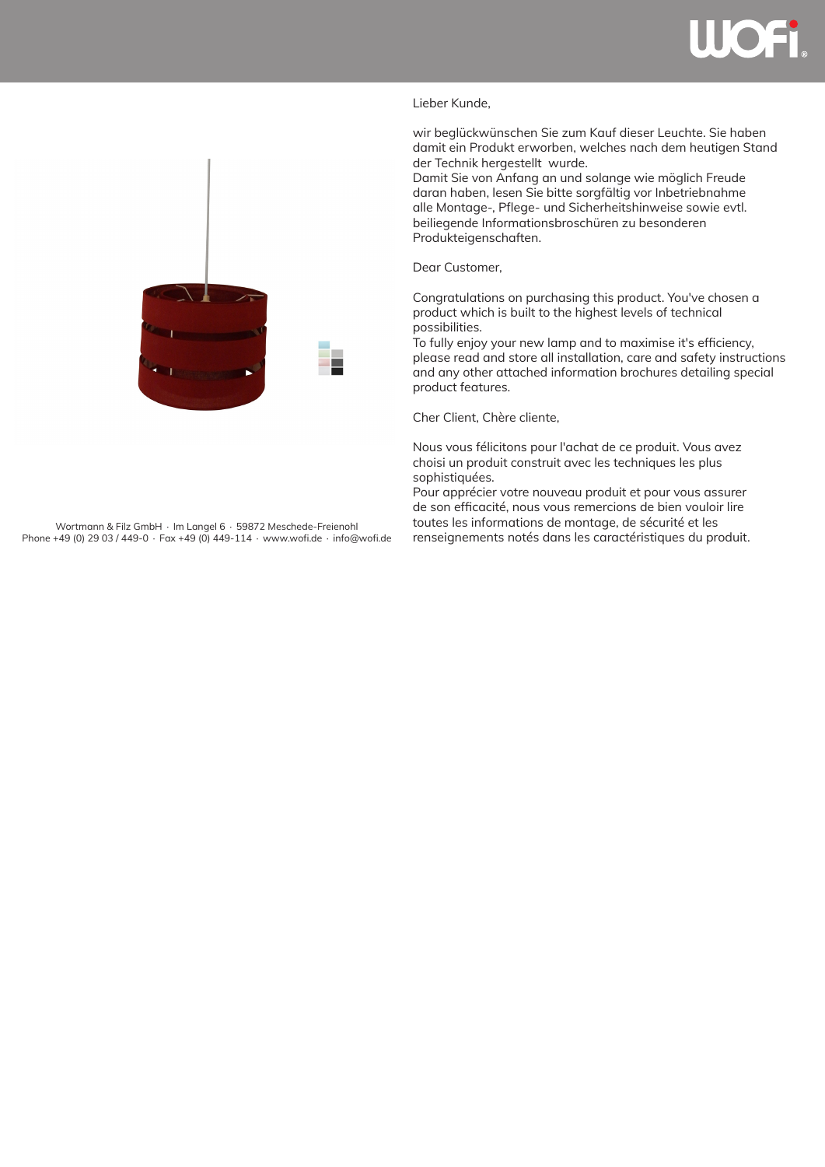

## Lieber Kunde,

wir beglückwünschen Sie zum Kauf dieser Leuchte. Sie haben damit ein Produkt erworben, welches nach dem heutigen Stand der Technik hergestellt wurde.

Damit Sie von Anfang an und solange wie möglich Freude daran haben, lesen Sie bitte sorgfältig vor Inbetriebnahme alle Montage-, Pflege- und Sicherheitshinweise sowie evtl. beiliegende Informationsbroschüren zu besonderen Produkteigenschaften.

Dear Customer,

Congratulations on purchasing this product. You've chosen a product which is built to the highest levels of technical possibilities.

To fully enjoy your new lamp and to maximise it's efficiency, please read and store all installation, care and safety instructions and any other attached information brochures detailing special product features.

Cher Client, Chère cliente,

Nous vous félicitons pour l'achat de ce produit. Vous avez choisi un produit construit avec les techniques les plus sophistiquées.

Pour apprécier votre nouveau produit et pour vous assurer de son efficacité, nous vous remercions de bien vouloir lire toutes les informations de montage, de sécurité et les Vortmann & Filz GmbH ∙ Im Langel 6 ∙ 59872 Meschede-Freienohl toutes les informations de montage, de sécurité et les<br>+49 (0) 29 03 / 449-0 ∙ Fax +49 (0) 449-114 ∙ www.wofi.de • info@wofi.de renseignements notés dans les c



Phone +49 (0) 29 03 / 449-0 ∙ Fax +49 (0) 449-114 ∙ www.wofi.de ∙ info@wofi.de